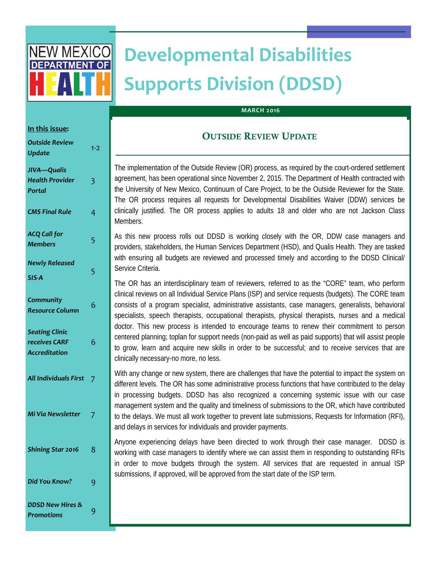

# **Developmental Disabilities Supports Division (DDSD)**

#### **MARCH 2016**

## **In this issue:**  *Outside Review Update* 1‐<sup>2</sup> *JIVA—Qualis Health Provider Portal*  3 *CMS Final Rule* 4 *ACQ Call for Members* <sup>5</sup> *Newly Released SIS‐A*  5 *Community Resource Column* <sup>6</sup> *Seating Clinic receives CARF Accreditation*  6 *All Individuals First* 7 *Mi Via Newsletter* 7 **Did You Know?** 9 *DDSD New Hires & Promotions* <sup>9</sup> *Shining Star 2016* 8

### OUTSIDE REVIEW UPDATE

The implementation of the Outside Review (OR) process, as required by the court-ordered settlement agreement, has been operational since November 2, 2015. The Department of Health contracted with the University of New Mexico, Continuum of Care Project, to be the Outside Reviewer for the State. The OR process requires all requests for Developmental Disabilities Waiver (DDW) services be clinically justified. The OR process applies to adults 18 and older who are not Jackson Class Members.

As this new process rolls out DDSD is working closely with the OR, DDW case managers and providers, stakeholders, the Human Services Department (HSD), and Qualis Health. They are tasked with ensuring all budgets are reviewed and processed timely and according to the DDSD Clinical/ Service Criteria.

The OR has an interdisciplinary team of reviewers, referred to as the "CORE" team, who perform clinical reviews on all Individual Service Plans (ISP) and service requests (budgets). The CORE team consists of a program specialist, administrative assistants, case managers, generalists, behavioral specialists, speech therapists, occupational therapists, physical therapists, nurses and a medical doctor. This new process is intended to encourage teams to renew their commitment to person centered planning; toplan for support needs (non-paid as well as paid supports) that will assist people to grow, learn and acquire new skills in order to be successful; and to receive services that are clinically necessary-no more, no less.

With any change or new system, there are challenges that have the potential to impact the system on different levels. The OR has some administrative process functions that have contributed to the delay in processing budgets. DDSD has also recognized a concerning systemic issue with our case management system and the quality and timeliness of submissions to the OR, which have contributed to the delays. We must all work together to prevent late submissions, Requests for Information (RFI), and delays in services for individuals and provider payments.

Anyone experiencing delays have been directed to work through their case manager. DDSD is working with case managers to identify where we can assist them in responding to outstanding RFIs in order to move budgets through the system. All services that are requested in annual ISP submissions, if approved, will be approved from the start date of the ISP term.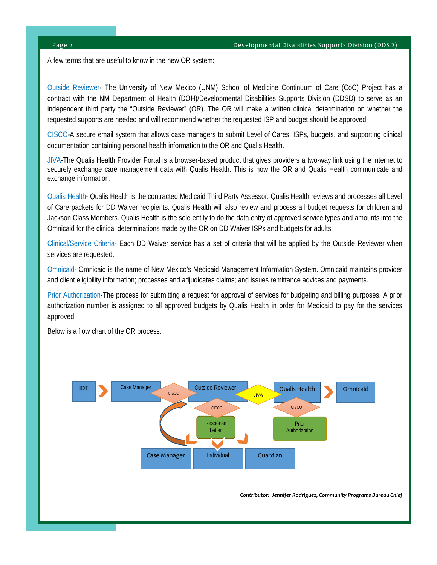A few terms that are useful to know in the new OR system:

Outside Reviewer- The University of New Mexico (UNM) School of Medicine Continuum of Care (CoC) Project has a contract with the NM Department of Health (DOH)/Developmental Disabilities Supports Division (DDSD) to serve as an independent third party the "Outside Reviewer" (OR). The OR will make a written clinical determination on whether the requested supports are needed and will recommend whether the requested ISP and budget should be approved.

CISCO-A secure email system that allows case managers to submit Level of Cares, ISPs, budgets, and supporting clinical documentation containing personal health information to the OR and Qualis Health.

JIVA-The Qualis Health Provider Portal is a browser-based product that gives providers a two-way link using the internet to securely exchange care management data with Qualis Health. This is how the OR and Qualis Health communicate and exchange information.

Qualis Health- Qualis Health is the contracted Medicaid Third Party Assessor. Qualis Health reviews and processes all Level of Care packets for DD Waiver recipients. Qualis Health will also review and process all budget requests for children and Jackson Class Members. Qualis Health is the sole entity to do the data entry of approved service types and amounts into the Omnicaid for the clinical determinations made by the OR on DD Waiver ISPs and budgets for adults.

Clinical/Service Criteria- Each DD Waiver service has a set of criteria that will be applied by the Outside Reviewer when services are requested.

Omnicaid- Omnicaid is the name of New Mexico's Medicaid Management Information System. Omnicaid maintains provider and client eligibility information; processes and adjudicates claims; and issues remittance advices and payments.

Prior Authorization-The process for submitting a request for approval of services for budgeting and billing purposes. A prior authorization number is assigned to all approved budgets by Qualis Health in order for Medicaid to pay for the services approved.

Below is a flow chart of the OR process.



*Contributor: Jennifer Rodriguez, Community Programs Bureau Chief*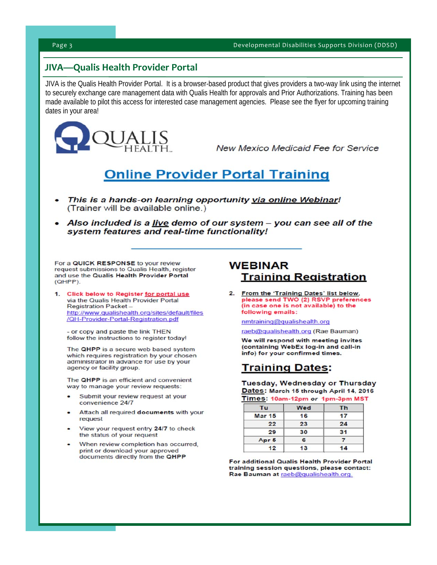## **JIVA—Qualis Health Provider Portal**

JIVA is the Qualis Health Provider Portal. It is a browser-based product that gives providers a two-way link using the internet to securely exchange care management data with Qualis Health for approvals and Prior Authorizations. Training has been made available to pilot this access for interested case management agencies. Please see the flyer for upcoming training dates in your area!



**New Mexico Medicaid Fee for Service** 

## **Online Provider Portal Training**

- This is a hands-on learning opportunity via online Webinar! (Trainer will be available online.)
- Also included is a <u>live</u> demo of our system you can see all of the system features and real-time functionality!

For a QUICK RESPONSE to your review request submissions to Qualis Health, register and use the Qualis Health Provider Portal  $(OHPP)$ 

1. Click below to Register for portal use via the Qualis Health Provider Portal **Registration Packet** http://www.qualishealth.org/sites/default/files /QH-Provider-Portal-Registration.pdf

- or copy and paste the link THEN follow the instructions to register today!

The QHPP is a secure web based system which requires registration by your chosen administrator in advance for use by your agency or facility group.

The QHPP is an efficient and convenient way to manage your review requests:

- Submit your review request at your convenience 24/7
- Attach all required documents with your request
- View your request entry 24/7 to check the status of your request
- When review completion has occurred, print or download your approved documents directly from the QHPP

### **WEBINAR Training Registration**

2. From the 'Training Dates' list below, please send TWO (2) RSVP preferences (in case one is not available) to the following emails:

nmtraining@qualishealth.org

raeb@qualishealth.org (Rae Bauman)

We will respond with meeting invites (containing WebEx log-in and call-in info) for your confirmed times.

## **Training Dates:**

Tuesday, Wednesday or Thursday Dates: March 15 through April 14, 2016 Times: 10am-12pm or 1pm-3pm MST

| Tu              | Wed | Th |
|-----------------|-----|----|
| <b>Mar 15</b>   | 16  | 17 |
| 22              | 23  | 24 |
| 29              | 30  | 31 |
| Apr 5           | 6   |    |
| 12 <sup>2</sup> | 13  | 14 |

For additional Qualis Health Provider Portal training session questions, please contact: Rae Bauman at raeb@qualishealth.org.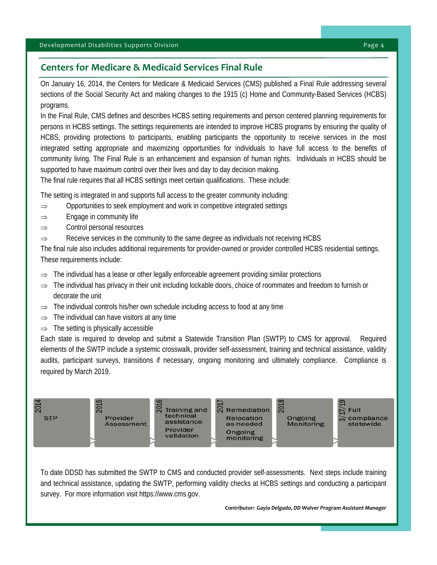### **Centers for Medicare & Medicaid Services Final Rule**

On January 16, 2014, the Centers for Medicare & Medicaid Services (CMS) published a Final Rule addressing several sections of the Social Security Act and making changes to the 1915 (c) Home and Community-Based Services (HCBS) programs.

In the Final Rule, CMS defines and describes HCBS setting requirements and person centered planning requirements for persons in HCBS settings. The settings requirements are intended to improve HCBS programs by ensuring the quality of HCBS, providing protections to participants, enabling participants the opportunity to receive services in the most integrated setting appropriate and maximizing opportunities for individuals to have full access to the benefits of community living. The Final Rule is an enhancement and expansion of human rights. Individuals in HCBS should be supported to have maximum control over their lives and day to day decision making.

The final rule requires that all HCBS settings meet certain qualifications. These include:

The setting is integrated in and supports full access to the greater community including:

- $\Rightarrow$  Opportunities to seek employment and work in competitive integrated settings
- $\Rightarrow$  Engage in community life
- $\Rightarrow$  Control personal resources
- $\Rightarrow$  Receive services in the community to the same degree as individuals not receiving HCBS

The final rule also includes additional requirements for provider-owned or provider controlled HCBS residential settings. These requirements include:

- The individual has a lease or other legally enforceable agreement providing similar protections
- $\Rightarrow$  The individual has privacy in their unit including lockable doors, choice of roommates and freedom to furnish or decorate the unit
- $\Rightarrow$  The individual controls his/her own schedule including access to food at any time
- $\Rightarrow$  The individual can have visitors at any time
- $\Rightarrow$  The setting is physically accessible

Each state is required to develop and submit a Statewide Transition Plan (SWTP) to CMS for approval. Required elements of the SWTP include a systemic crosswalk, provider self-assessment, training and technical assistance, validity audits, participant surveys, transitions if necessary, ongoing monitoring and ultimately compliance. Compliance is required by March 2019.



To date DDSD has submitted the SWTP to CMS and conducted provider self-assessments. Next steps include training and technical assistance, updating the SWTP, performing validity checks at HCBS settings and conducting a participant survey. For more information visit https://www.cms.gov.

*Contributor: Gayla Delgado, DD Waiver Program Assistant Manager*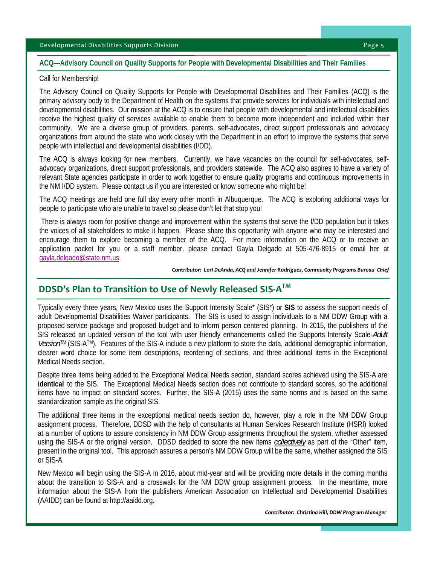#### Developmental Disabilities Supports Division *Baggery Communication*  $\Gamma$

#### **ACQ—Advisory Council on Quality Supports for People with Developmental Disabilities and Their Families**

#### Call for Membership!

The Advisory Council on Quality Supports for People with Developmental Disabilities and Their Families (ACQ) is the primary advisory body to the Department of Health on the systems that provide services for individuals with intellectual and developmental disabilities. Our mission at the ACQ is to ensure that people with developmental and intellectual disabilities receive the highest quality of services available to enable them to become more independent and included within their community. We are a diverse group of providers, parents, self-advocates, direct support professionals and advocacy organizations from around the state who work closely with the Department in an effort to improve the systems that serve people with intellectual and developmental disabilities (I/DD).

The ACQ is always looking for new members. Currently, we have vacancies on the council for self-advocates, selfadvocacy organizations, direct support professionals, and providers statewide. The ACQ also aspires to have a variety of relevant State agencies participate in order to work together to ensure quality programs and continuous improvements in the NM I/DD system. Please contact us if you are interested or know someone who might be!

The ACQ meetings are held one full day every other month in Albuquerque. The ACQ is exploring additional ways for people to participate who are unable to travel so please don't let that stop you!

 There is always room for positive change and improvement within the systems that serve the I/DD population but it takes the voices of all stakeholders to make it happen. Please share this opportunity with anyone who may be interested and encourage them to explore becoming a member of the ACQ. For more information on the ACQ or to receive an application packet for you or a staff member, please contact Gayla Delgado at 505-476-8915 or email her at gayla.delgado@state.nm.us.

*Contributor: Lori DeAnda, ACQ and Jennifer Rodriguez, Community Programs Bureau Chief* 

## **DDSD's Plan to Transition to Use of Newly Released SIS‐ATM**

Typically every three years, New Mexico uses the Support Intensity Scale\* (SIS\*) or **SIS** to assess the support needs of adult Developmental Disabilities Waiver participants. The SIS is used to assign individuals to a NM DDW Group with a proposed service package and proposed budget and to inform person centered planning. In 2015, the publishers of the SIS released an updated version of the tool with user friendly enhancements called the Supports Intensity Scale-*Adult VersionTM* (SIS-ATM). Features of the SIS-A include a new platform to store the data, additional demographic information, clearer word choice for some item descriptions, reordering of sections, and three additional items in the Exceptional Medical Needs section.

Despite three items being added to the Exceptional Medical Needs section, standard scores achieved using the SIS-A are **identical** to the SIS. The Exceptional Medical Needs section does not contribute to standard scores, so the additional items have no impact on standard scores. Further, the SIS-A (2015) uses the same norms and is based on the same standardization sample as the original SIS.

The additional three items in the exceptional medical needs section do, however, play a role in the NM DDW Group assignment process. Therefore, DDSD with the help of consultants at Human Services Research Institute (HSRI) looked at a number of options to assure consistency in NM DDW Group assignments throughout the system, whether assessed using the SIS-A or the original version. DDSD decided to score the new items *collectively* as part of the "Other" item, present in the original tool. This approach assures a person's NM DDW Group will be the same, whether assigned the SIS or SIS-A.

New Mexico will begin using the SIS-A in 2016, about mid-year and will be providing more details in the coming months about the transition to SIS-A and a crosswalk for the NM DDW group assignment process. In the meantime, more information about the SIS-A from the publishers American Association on Intellectual and Developmental Disabilities (AAIDD) can be found at http://aaidd.org.

 *Contributor: Christina Hill, DDW Program Manager*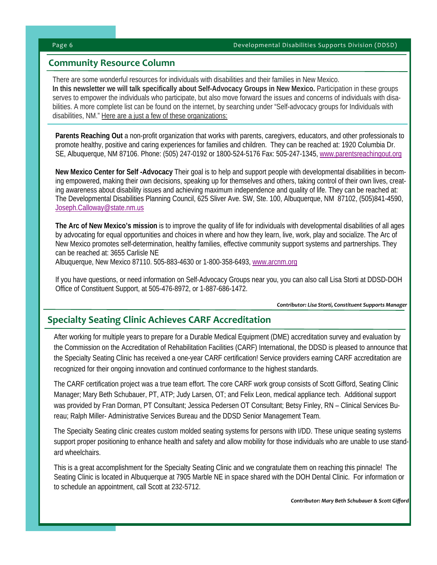### **Community Resource Column**

There are some wonderful resources for individuals with disabilities and their families in New Mexico. **In this newsletter we will talk specifically about Self-Advocacy Groups in New Mexico.** Participation in these groups serves to empower the individuals who participate, but also move forward the issues and concerns of individuals with disabilities. A more complete list can be found on the internet, by searching under "Self-advocacy groups for Individuals with disabilities, NM." Here are a just a few of these organizations:

**Parents Reaching Out** a non-profit organization that works with parents, caregivers, educators, and other professionals to promote healthy, positive and caring experiences for families and children. They can be reached at: 1920 Columbia Dr. SE, Albuquerque, NM 87106. Phone: (505) 247-0192 or 1800-524-5176 Fax: 505-247-1345, www.parentsreachingout.org

**New Mexico Center for Self -Advocacy** Their goal is to help and support people with developmental disabilities in becoming empowered, making their own decisions, speaking up for themselves and others, taking control of their own lives, creating awareness about disability issues and achieving maximum independence and quality of life. They can be reached at: The Developmental Disabilities Planning Council, 625 Sliver Ave. SW, Ste. 100, Albuquerque, NM 87102, (505)841-4590, Joseph.Calloway@state.nm.us

**The Arc of New Mexico's mission** is to improve the quality of life for individuals with developmental disabilities of all ages by advocating for equal opportunities and choices in where and how they learn, live, work, play and socialize. The Arc of New Mexico promotes self-determination, healthy families, effective community support systems and partnerships. They can be reached at: 3655 Carlisle NE Albuquerque, New Mexico 87110. 505-883-4630 or 1-800-358-6493, www.arcnm.org

If you have questions, or need information on Self-Advocacy Groups near you, you can also call Lisa Storti at DDSD-DOH Office of Constituent Support, at 505-476-8972, or 1-887-686-1472.

*Contributor: Lisa Storti, Constituent Supports Manager* 

## **Specialty Seating Clinic Achieves CARF Accreditation**

After working for multiple years to prepare for a Durable Medical Equipment (DME) accreditation survey and evaluation by the Commission on the Accreditation of Rehabilitation Facilities (CARF) International, the DDSD is pleased to announce that the Specialty Seating Clinic has received a one-year CARF certification! Service providers earning CARF accreditation are recognized for their ongoing innovation and continued conformance to the highest standards.

The CARF certification project was a true team effort. The core CARF work group consists of Scott Gifford, Seating Clinic Manager; Mary Beth Schubauer, PT, ATP; Judy Larsen, OT; and Felix Leon, medical appliance tech. Additional support was provided by Fran Dorman, PT Consultant; Jessica Pedersen OT Consultant; Betsy Finley, RN – Clinical Services Bureau; Ralph Miller- Administrative Services Bureau and the DDSD Senior Management Team.

The Specialty Seating clinic creates custom molded seating systems for persons with I/DD. These unique seating systems support proper positioning to enhance health and safety and allow mobility for those individuals who are unable to use standard wheelchairs.

This is a great accomplishment for the Specialty Seating Clinic and we congratulate them on reaching this pinnacle! The Seating Clinic is located in Albuquerque at 7905 Marble NE in space shared with the DOH Dental Clinic. For information or to schedule an appointment, call Scott at 232-5712.

*Contributor: Mary Beth Schubauer & Scott Gifford*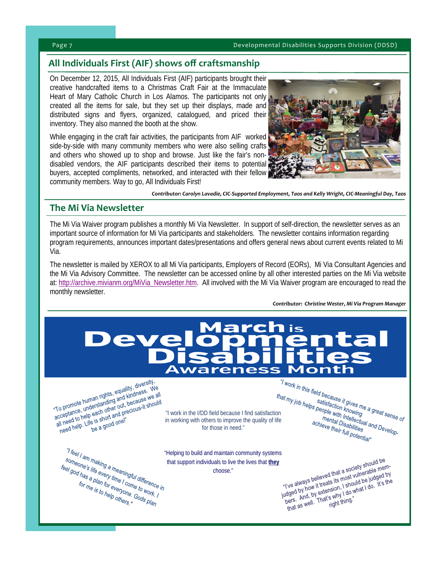#### **All Individuals First (AIF) shows off craftsmanship**

On December 12, 2015, All Individuals First (AIF) participants brought their creative handcrafted items to a Christmas Craft Fair at the Immaculate Heart of Mary Catholic Church in Los Alamos. The participants not only created all the items for sale, but they set up their displays, made and distributed signs and flyers, organized, catalogued, and priced their inventory. They also manned the booth at the show.

While engaging in the craft fair activities, the participants from AIF worked side-by-side with many community members who were also selling crafts and others who showed up to shop and browse. Just like the fair's nondisabled vendors, the AIF participants described their items to potential buyers, accepted compliments, networked, and interacted with their fellow community members. Way to go, All Individuals First!



 *Contributor: Carolyn Lavadie, CIC‐Supported Employment, Taos and Kelly Wright, CIC‐Meaningful Day, Taos* 

#### **The Mi Via Newsletter**

The Mi Via Waiver program publishes a monthly Mi Via Newsletter. In support of self-direction, the newsletter serves as an important source of information for Mi Via participants and stakeholders. The newsletter contains information regarding program requirements, announces important dates/presentations and offers general news about current events related to Mi Via.

The newsletter is mailed by XEROX to all Mi Via participants, Employers of Record (EORs), Mi Via Consultant Agencies and the Mi Via Advisory Committee. The newsletter can be accessed online by all other interested parties on the Mi Via website at: http://archive.mivianm.org/MiVia\_Newsletter.htm. All involved with the Mi Via Waiver program are encouraged to read the monthly newsletter.

*Contributor: Christine Wester, Mi Via Program Manager* 



"To promote human rights, equality, diversity,<br>"To promote human rights, equality, diversity, we<br>"To promote, understanding out, because we?" "To promote human rights, equality, diversity,"<br>"To promote human rights, equality, diversity,"<br>acceptance, understanding only to pecause we all<br>acceptance, under short and precious-it should<br>all need to helife is short an "To promote human rights, equality, dress. We<br>"To promote human rights, equality, the cause we all<br>acceptance, understanding and because we all<br>all need to help each port and precious it should<br>all need help. Life is short To promote human rights, and kindless we all<br>To promote human standing and kindless we all<br>cceptance, understanding and precious-it should<br>all need to help each of the short and precious-it should

in working with others to improve the quality of life for those in need."

that my job helps people in the I/DD field because I find satisfaction<br>
"I work in the I/DD field because I find satisfaction<br>
"I work in the I/DD field because I find satisfaction<br>
"I work in the I/DD field because I find mental Intellectual an<br>achieve their full potential?<br>potential?

"Teel I am<br>
someone's life every meaningful difference in<br>
that support individuals to live the lives that <u>they</u><br>
"Ye always believed that a society should be<br>
the star and the set of the lives of the lives that the set o <sup>1</sup> feel I am making a meaningful difference i<br>someone's life every time I contributed<br>for me is to help for every come to work. I<br>for me is to help others a Gods plan someone's life every time in grill difference<br>feel god has is every time I come to work.<br>for me is to help of time is to help of the Rence

choose."

that support individuals to live the lives that **they**<br>choose."<br>
sharp believed that a society should be mem-<br>
sharp believed that a society should be mem-"I've always believed that a society show."<br>"I've always believed that a society show in mem-<br>udged by how it treats its most vulnerable negation<br>udged by how it reats is moving that ido. It's the<br>bers. And, by extension,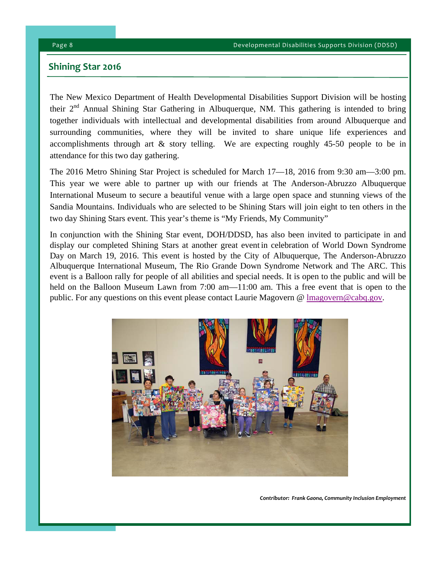#### **Shining Star 2016**

The New Mexico Department of Health Developmental Disabilities Support Division will be hosting their 2<sup>nd</sup> Annual Shining Star Gathering in Albuquerque, NM. This gathering is intended to bring together individuals with intellectual and developmental disabilities from around Albuquerque and surrounding communities, where they will be invited to share unique life experiences and accomplishments through art & story telling. We are expecting roughly 45-50 people to be in attendance for this two day gathering.

The 2016 Metro Shining Star Project is scheduled for March 17—18, 2016 from 9:30 am—3:00 pm. This year we were able to partner up with our friends at The Anderson-Abruzzo Albuquerque International Museum to secure a beautiful venue with a large open space and stunning views of the Sandia Mountains. Individuals who are selected to be Shining Stars will join eight to ten others in the two day Shining Stars event. This year's theme is "My Friends, My Community"

In conjunction with the Shining Star event, DOH/DDSD, has also been invited to participate in and display our completed Shining Stars at another great event in celebration of World Down Syndrome Day on March 19, 2016. This event is hosted by the City of Albuquerque, The Anderson-Abruzzo Albuquerque International Museum, The Rio Grande Down Syndrome Network and The ARC. This event is a Balloon rally for people of all abilities and special needs. It is open to the public and will be held on the Balloon Museum Lawn from 7:00 am—11:00 am. This a free event that is open to the public. For any questions on this event please contact Laurie Magovern @  $\frac{\text{Imagovern@cabq.gov}}{\text{Imagovern@cabq.gov}}$ .



 *Contributor: Frank Gaona, Community Inclusion Employment*